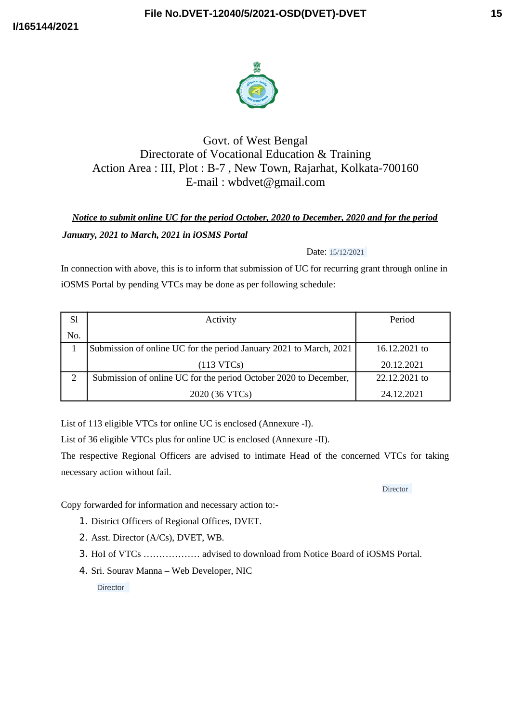



## Govt. of West Bengal Directorate of Vocational Education & Training Action Area : III, Plot : B-7 , New Town, Rajarhat, Kolkata-700160 E-mail : wbdvet@gmail.com

# *Notice to submit online UC for the period October, 2020 to December, 2020 and for the period January, 2021 to March, 2021 in iOSMS Portal*

#### Date: 15/12/2021

In connection with above, this is to inform that submission of UC for recurring grant through online in iOSMS Portal by pending VTCs may be done as per following schedule:

| Sl  | Activity                                                           | Period        |
|-----|--------------------------------------------------------------------|---------------|
| No. |                                                                    |               |
|     | Submission of online UC for the period January 2021 to March, 2021 | 16.12.2021 to |
|     | (113 VTCs)                                                         | 20.12.2021    |
|     | Submission of online UC for the period October 2020 to December,   | 22.12.2021 to |
|     | 2020 (36 VTCs)                                                     | 24.12.2021    |

List of 113 eligible VTCs for online UC is enclosed (Annexure -I).

List of 36 eligible VTCs plus for online UC is enclosed (Annexure -II).

The respective Regional Officers are advised to intimate Head of the concerned VTCs for taking necessary action without fail.

**Director** 

Copy forwarded for information and necessary action to:-

- 1. District Officers of Regional Offices, DVET.
- 2. Asst. Director (A/Cs), DVET, WB.
- 3. HoI of VTCs ……………… advised to download from Notice Board of iOSMS Portal.
- 4. Sri. Sourav Manna Web Developer, NIC

**Director**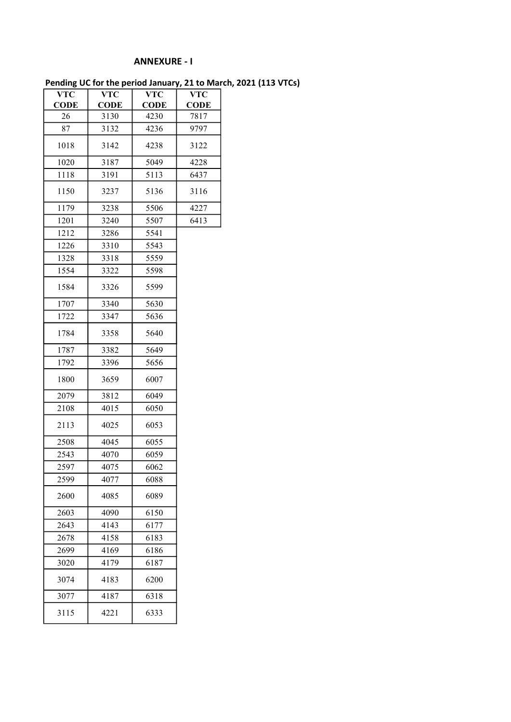### ANNEXURE - I

Pending UC for the period January, 21 to March, 2021 (113 VTCs)

| VTC         | VTC         | VTC         | VTC         |
|-------------|-------------|-------------|-------------|
| <b>CODE</b> | <b>CODE</b> | <b>CODE</b> | <b>CODE</b> |
| 26          | 3130        | 4230        | 7817        |
| 87          | 3132        | 4236        | 9797        |
| 1018        | 3142        | 4238        | 3122        |
| 1020        | 3187        | 5049        | 4228        |
| 1118        | 3191        | 5113        | 6437        |
| 1150        | 3237        | 5136        | 3116        |
| 1179        | 3238        | 5506        | 4227        |
| 1201        | 3240        | 5507        | 6413        |
| 1212        | 3286        | 5541        |             |
| 1226        | 3310        | 5543        |             |
| 1328        | 3318        | 5559        |             |
| 1554        | 3322        | 5598        |             |
| 1584        | 3326        | 5599        |             |
| 1707        | 3340        | 5630        |             |
| 1722        | 3347        | 5636        |             |
| 1784        | 3358        | 5640        |             |
| 1787        | 3382        | 5649        |             |
| 1792        | 3396        | 5656        |             |
| 1800        | 3659        | 6007        |             |
| 2079        | 3812        | 6049        |             |
| 2108        | 4015        | 6050        |             |
| 2113        | 4025        | 6053        |             |
| 2508        | 4045        | 6055        |             |
| 2543        | 4070        | 6059        |             |
| 2597        | 4075        | 6062        |             |
| 2599        | 4077        | 6088        |             |
| 2600        | 4085        | 6089        |             |
| 2603        | 4090        | 6150        |             |
| 2643        | 4143        | 6177        |             |
| 2678        | 4158        | 6183        |             |
| 2699        | 4169        | 6186        |             |
| 3020        | 4179        | 6187        |             |
| 3074        | 4183        | 6200        |             |
| 3077        | 4187        | 6318        |             |
| 3115        | 4221        | 6333        |             |